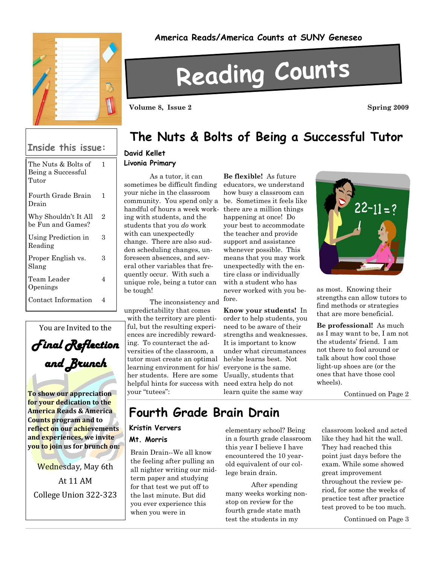

#### **Inside this issue:**

| The Nuts & Bolts of<br>Being a Successful<br>Tutor | 1 |
|----------------------------------------------------|---|
| Fourth Grade Brain<br>Drain                        | 1 |
| Why Shouldn't It All<br>be Fun and Games?          | 2 |
| Using Prediction in<br>Reading                     | З |
| Proper English vs.<br>Slang                        | з |
| Team Leader<br>Openings                            | 4 |
| Contact Information                                | Δ |



**To show our appreciation for your dedication to the America Reads & America Counts program and to reflect on our achievements and experiences, we invite you to join us for brunch on:**

Wednesday, May 6th At 11 AM College Union 322-323

#### **America Reads/America Counts at SUNY Geneseo**

# **Reading Counts**

**Volume 8, Issue 2 Spring 2009** 

### **The Nuts & Bolts of Being a Successful Tutor**

#### **David Kellet**

#### **Livonia Primary**

As a tutor, it can sometimes be difficult finding your niche in the classroom community. You spend only a handful of hours a week work-there are a million things ing with students, and the students that you *do* work with can unexpectedly change. There are also sudden scheduling changes, unforeseen absences, and several other variables that frequently occur. With such a unique role, being a tutor can be tough!

The inconsistency and unpredictability that comes with the territory are plentiful, but the resulting experiences are incredibly rewarding. To counteract the adversities of the classroom, a tutor must create an optimal learning environment for his/ her students. Here are some helpful hints for success with need extra help do not your "tutees":

**Be flexible!** As future educators, we understand how busy a classroom can be. Sometimes it feels like happening at once! Do your best to accommodate the teacher and provide support and assistance whenever possible. This means that you may work unexpectedly with the entire class or individually with a student who has never worked with you before.

**Know your students!** In order to help students, you need to be aware of their strengths and weaknesses. It is important to know under what circumstances he/she learns best. Not everyone is the same. Usually, students that learn quite the same way



as most. Knowing their strengths can allow tutors to find methods or strategies that are more beneficial.

**Be professional!** As much as I may want to be, I am not the students' friend. I am not there to fool around or talk about how cool those light-up shoes are (or the ones that have those cool wheels).

Continued on Page 2

### **Fourth Grade Brain Drain**

#### **Kristin Ververs**

#### **Mt. Morris**

Brain Drain--We all know the feeling after pulling an all nighter writing our midterm paper and studying for that test we put off to the last minute. But did you ever experience this when you were in

elementary school? Being in a fourth grade classroom this year I believe I have encountered the 10 yearold equivalent of our college brain drain.

After spending many weeks working nonstop on review for the fourth grade state math test the students in my

classroom looked and acted like they had hit the wall. They had reached this point just days before the exam. While some showed great improvement throughout the review period, for some the weeks of practice test after practice test proved to be too much.

Continued on Page 3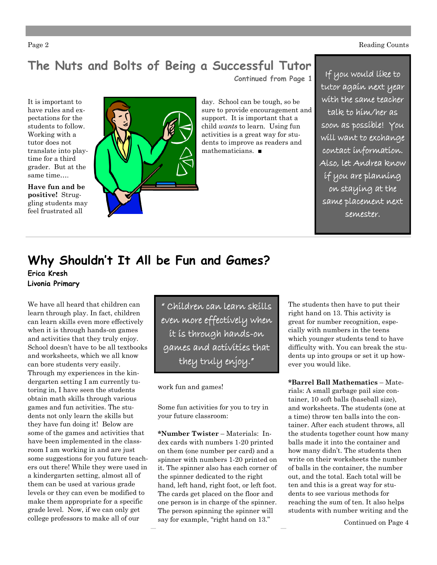Page 2 Reading Counts

# **The Nuts and Bolts of Being a Successful Tutor**

**Continued from Page 1**

It is important to have rules and expectations for the students to follow. Working with a tutor does not translate into playtime for a third grader. But at the same time….

**Have fun and be positive!** Struggling students may feel frustrated all



day. School can be tough, so be sure to provide encouragement and support. It is important that a child *wants* to learn. Using fun activities is a great way for students to improve as readers and mathematicians. ■

If you would like to tutor again next year with the same teacher talk to him/her as soon as possible! You will want to exchange contact information. Also, let Andrea know if you are planning on staying at the same placement next semester.

# **Why Shouldn't It All be Fun and Games? Erica Kresh**

**Livonia Primary**

We have all heard that children can learn through play. In fact, children can learn skills even more effectively when it is through hands-on games and activities that they truly enjoy. School doesn't have to be all textbooks and worksheets, which we all know can bore students very easily. Through my experiences in the kindergarten setting I am currently tutoring in, I have seen the students obtain math skills through various games and fun activities. The students not only learn the skills but they have fun doing it! Below are some of the games and activities that have been implemented in the classroom I am working in and are just some suggestions for you future teachers out there! While they were used in a kindergarten setting, almost all of them can be used at various grade levels or they can even be modified to make them appropriate for a specific grade level. Now, if we can only get college professors to make all of our

" Children can learn skills even more effectively when it is through hands-on games and activities that they truly enjoy."

work fun and games!

Some fun activities for you to try in your future classroom:

**\*Number Twister** – Materials: Index cards with numbers 1-20 printed on them (one number per card) and a spinner with numbers 1-20 printed on it. The spinner also has each corner of the spinner dedicated to the right hand, left hand, right foot, or left foot. The cards get placed on the floor and one person is in charge of the spinner. The person spinning the spinner will say for example, "right hand on 13."

The students then have to put their right hand on 13. This activity is great for number recognition, especially with numbers in the teens which younger students tend to have difficulty with. You can break the students up into groups or set it up however you would like.

**\*Barrel Ball Mathematics** – Materials: A small garbage pail size container, 10 soft balls (baseball size), and worksheets. The students (one at a time) throw ten balls into the container. After each student throws, all the students together count how many balls made it into the container and how many didn't. The students then write on their worksheets the number of balls in the container, the number out, and the total. Each total will be ten and this is a great way for students to see various methods for reaching the sum of ten. It also helps students with number writing and the

Continued on Page 4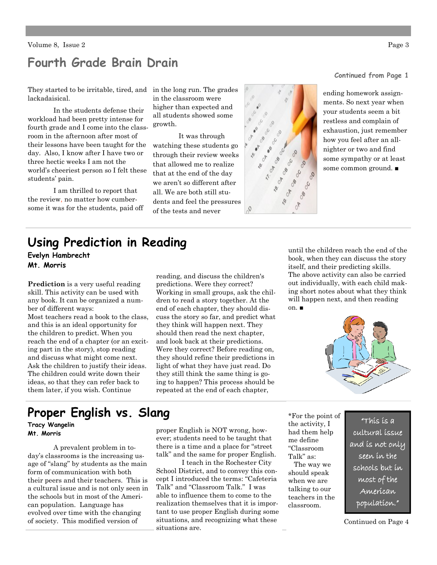#### **Fourth Grade Brain Drain**

They started to be irritable, tired, and in the long run. The grades lackadaisical.

In the students defense their workload had been pretty intense for fourth grade and I come into the classroom in the afternoon after most of their lessons have been taught for the day. Also, I know after I have two or three hectic weeks I am not the world's cheeriest person so I felt these students' pain.

I am thrilled to report that the review, no matter how cumbersome it was for the students, paid off in the classroom were higher than expected and all students showed some growth.

It was through watching these students go through their review weeks that allowed me to realize that at the end of the day we aren't so different after all. We are both still students and feel the pressures of the tests and never



**Continued from Page 1**

ending homework assignments. So next year when your students seem a bit restless and complain of exhaustion, just remember how you feel after an allnighter or two and find some sympathy or at least some common ground. ■

### **Using Prediction in Reading**

**Evelyn Hambrecht Mt. Morris**

**Prediction** is a very useful reading skill. This activity can be used with any book. It can be organized a number of different ways: Most teachers read a book to the class, and this is an ideal opportunity for the children to predict. When you reach the end of a chapter (or an exciting part in the story), stop reading and discuss what might come next. Ask the children to justify their ideas. The children could write down their ideas, so that they can refer back to them later, if you wish. Continue

reading, and discuss the children's predictions. Were they correct? Working in small groups, ask the children to read a story together. At the end of each chapter, they should discuss the story so far, and predict what they think will happen next. They should then read the next chapter, and look back at their predictions. Were they correct? Before reading on, they should refine their predictions in light of what they have just read. Do they still think the same thing is going to happen? This process should be repeated at the end of each chapter,

until the children reach the end of the book, when they can discuss the story itself, and their predicting skills. The above activity can also be carried out individually, with each child making short notes about what they think will happen next, and then reading on. ■



### **Proper English vs. Slang**

**Tracy Wangelin**

A prevalent problem in today's classrooms is the increasing usage of "slang" by students as the main form of communication with both their peers and their teachers. This is a cultural issue and is not only seen in the schools but in most of the American population. Language has evolved over time with the changing of society. This modified version of

**Mt. Morris** proper English is NOT wrong, however; students need to be taught that there is a time and a place for "street talk" and the same for proper English.

> I teach in the Rochester City School District, and to convey this concept I introduced the terms: "Cafeteria Talk" and "Classroom Talk." I was able to influence them to come to the realization themselves that it is important to use proper English during some situations, and recognizing what these situations are.

\*For the point of the activity, I had them help me define "Classroom Talk" as:

 The way we should speak when we are talking to our teachers in the classroom.

"This is a cultural issue and is not only seen in the schools but in most of the American population."

Continued on Page 4